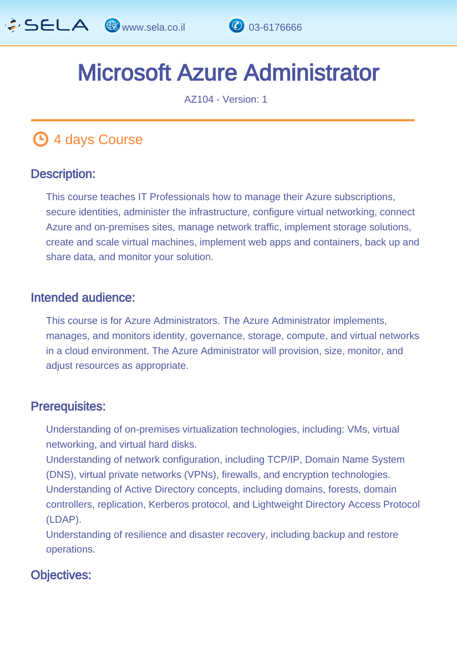

# Microsoft Azure Administrator E

AZ104 - Version: 1

# **4 days Course**

### Description: Ĩ

This course teaches IT Professionals how to manage their Azure subscriptions, secure identities, administer the infrastructure, configure virtual networking, connect Azure and on-premises sites, manage network traffic, implement storage solutions, create and scale virtual machines, implement web apps and containers, back up and share data, and monitor your solution.

#### Intended audience: Ï

This course is for Azure Administrators. The Azure Administrator implements, manages, and monitors identity, governance, storage, compute, and virtual networks in a cloud environment. The Azure Administrator will provision, size, monitor, and adjust resources as appropriate.

#### Prerequisites: L.

Understanding of on-premises virtualization technologies, including: VMs, virtual networking, and virtual hard disks.

Understanding of network configuration, including TCP/IP, Domain Name System (DNS), virtual private networks (VPNs), firewalls, and encryption technologies. Understanding of Active Directory concepts, including domains, forests, domain controllers, replication, Kerberos protocol, and Lightweight Directory Access Protocol (LDAP).

Understanding of resilience and disaster recovery, including backup and restore operations.

### Objectives: Ĭ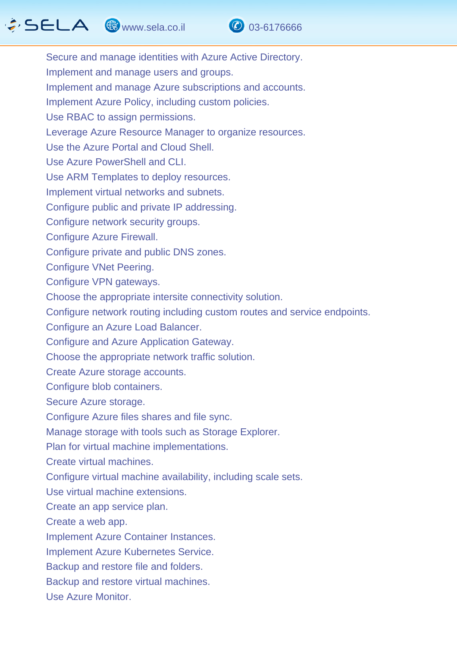# $\hat{G}$  SELA  $\circledast$  www.sela.co.il  $\circledast$  03-6176666



Secure and manage identities with Azure Active Directory. Implement and manage users and groups. Implement and manage Azure subscriptions and accounts. Implement Azure Policy, including custom policies. Use RBAC to assign permissions. Leverage Azure Resource Manager to organize resources. Use the Azure Portal and Cloud Shell. Use Azure PowerShell and CLI. Use ARM Templates to deploy resources. Implement virtual networks and subnets. Configure public and private IP addressing. Configure network security groups. Configure Azure Firewall. Configure private and public DNS zones. Configure VNet Peering. Configure VPN gateways. Choose the appropriate intersite connectivity solution. Configure network routing including custom routes and service endpoints. Configure an Azure Load Balancer. Configure and Azure Application Gateway. Choose the appropriate network traffic solution. Create Azure storage accounts. Configure blob containers. Secure Azure storage. Configure Azure files shares and file sync. Manage storage with tools such as Storage Explorer. Plan for virtual machine implementations. Create virtual machines. Configure virtual machine availability, including scale sets. Use virtual machine extensions. Create an app service plan. Create a web app. Implement Azure Container Instances. Implement Azure Kubernetes Service. Backup and restore file and folders. Backup and restore virtual machines.

Use Azure Monitor.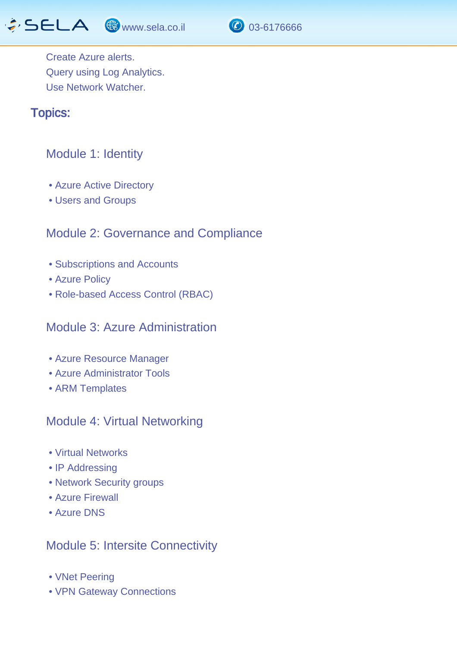www.sela.co.il 03-6176666



Create Azure alerts. Query using Log Analytics. Use Network Watcher.

#### Topics: J.

## Module 1: Identity

- Azure Active Directory
- Users and Groups

## Module 2: Governance and Compliance

- Subscriptions and Accounts
- Azure Policy
- Role-based Access Control (RBAC)

### Module 3: Azure Administration

- Azure Resource Manager
- Azure Administrator Tools
- ARM Templates

## Module 4: Virtual Networking

- Virtual Networks
- IP Addressing
- Network Security groups
- Azure Firewall
- Azure DNS

### Module 5: Intersite Connectivity

- VNet Peering
- VPN Gateway Connections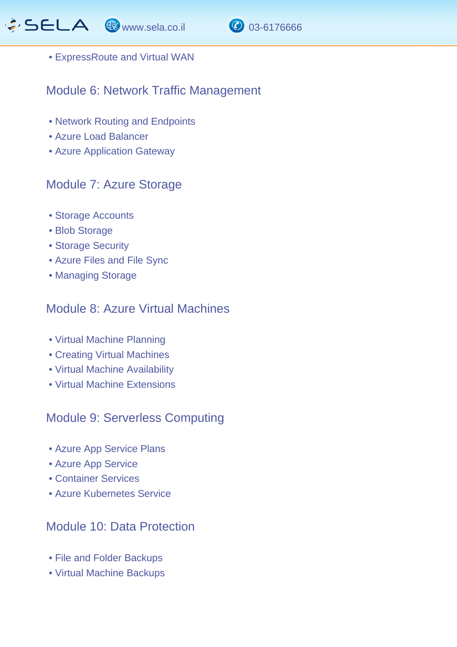



• ExpressRoute and Virtual WAN

# Module 6: Network Traffic Management

- Network Routing and Endpoints
- Azure Load Balancer
- Azure Application Gateway

# Module 7: Azure Storage

- Storage Accounts
- Blob Storage
- Storage Security
- Azure Files and File Sync
- Managing Storage

## Module 8: Azure Virtual Machines

- Virtual Machine Planning
- Creating Virtual Machines
- Virtual Machine Availability
- Virtual Machine Extensions

# Module 9: Serverless Computing

- Azure App Service Plans
- Azure App Service
- Container Services
- Azure Kubernetes Service

# Module 10: Data Protection

- File and Folder Backups
- Virtual Machine Backups